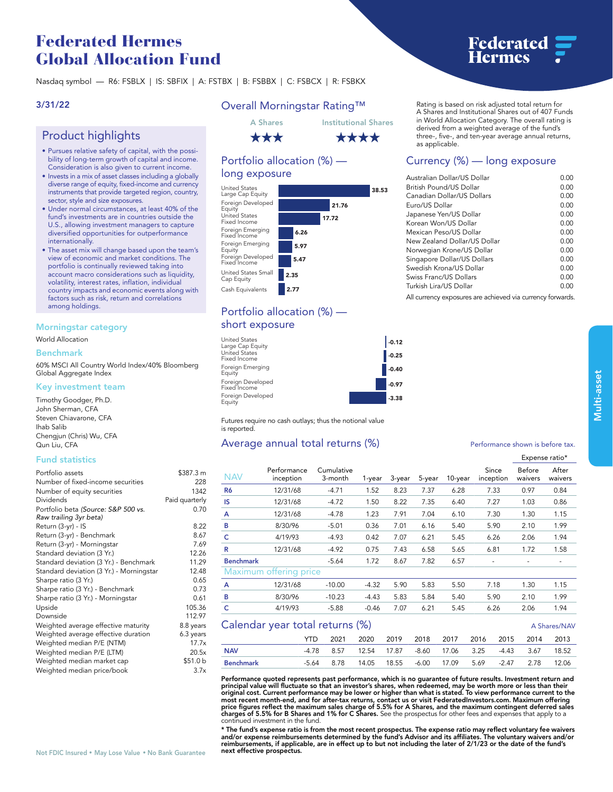## **Federated Hermes Global Allocation Fund**

**Nasdaq symbol — R6: FSBLX | IS: SBFIX | A: FSTBX | B: FSBBX | C: FSBCX | R: FSBKX**

## **3/31/22**

## **Product highlights**

- **• Pursues relative safety of capital, with the possibility of long-term growth of capital and income. Consideration is also given to current income.**
- **• Invests in a mix of asset classes including a globally diverse range of equity, fixed-income and currency instruments that provide targeted region, country, sector, style and size exposures.**
- **• Under normal circumstances, at least 40% of the fund's investments are in countries outside the U.S., allowing investment managers to capture diversified opportunities for outperformance internationally.**
- **• The asset mix will change based upon the team's view of economic and market conditions. The portfolio is continually reviewed taking into account macro considerations such as liquidity, volatility, interest rates, inflation, individual country impacts and economic events along with factors such as risk, return and correlations among holdings.**

#### **Morningstar category**

**World Allocation**

#### **Benchmark**

**60% MSCI All Country World Index/40% Bloomberg Global Aggregate Index**

#### **Key investment team**

**Timothy Goodger, Ph.D. John Sherman, CFA Steven Chiavarone, CFA Ihab Salib Chengjun (Chris) Wu, CFA Qun Liu, CFA**

#### **Fund statistics**

| Portfolio assets                         | \$387.3 m      |
|------------------------------------------|----------------|
| Number of fixed-income securities        | 228            |
| Number of equity securities              | 1342           |
| Dividends                                | Paid quarterly |
| Portfolio beta (Source: S&P 500 vs.      | 0.70           |
| Raw trailing 3yr beta)                   |                |
| Return (3-yr) - IS                       | 8.22           |
| Return (3-yr) - Benchmark                | 8.67           |
| Return (3-yr) - Morningstar              | 7.69           |
| Standard deviation (3 Yr.)               | 12.26          |
| Standard deviation (3 Yr.) - Benchmark   | 11.29          |
| Standard deviation (3 Yr.) - Morningstar | 12.48          |
| Sharpe ratio (3 Yr.)                     | 0.65           |
| Sharpe ratio (3 Yr.) - Benchmark         | 0.73           |
| Sharpe ratio (3 Yr.) - Morningstar       | 0.61           |
| Upside                                   | 105.36         |
| Downside                                 | 112.97         |
| Weighted average effective maturity      | 8.8 years      |
| Weighted average effective duration      | 6.3 years      |
| Weighted median P/E (NTM)                | 17.7x          |
| Weighted median P/E (LTM)                | 20.5x          |
| Weighted median market cap               | \$51.0b        |
| Weighted median price/book               | 3.7x           |
|                                          |                |

## **Overall Morningstar Rating™**



## **Portfolio allocation (%) long exposure**



## **Portfolio allocation (%) short exposure**

| <b>United States</b><br>Large Cap Equity | $-0.12$ |
|------------------------------------------|---------|
| <b>United States</b><br>Fixed Income     | $-0.25$ |
| Foreign Emerging<br>Equity               | $-0.40$ |
| Foreign Developed<br>Fixed Income        | $-0.97$ |
| Foreign Developed<br>Equity              | $-3.38$ |

**Futures require no cash outlays; thus the notional value is reported.**

## **Average annual total returns (%)** *Performance shown is before tax.*

|                                                 |                          |                       |         |        |         |         |      |                    |                   | Expense ratio*   |
|-------------------------------------------------|--------------------------|-----------------------|---------|--------|---------|---------|------|--------------------|-------------------|------------------|
| <b>NAV</b>                                      | Performance<br>inception | Cumulative<br>3-month | 1-year  | 3-year | 5-year  | 10-year |      | Since<br>inception | Before<br>waivers | After<br>waivers |
| R <sub>6</sub>                                  | 12/31/68                 | $-4.71$               | 1.52    | 8.23   | 7.37    | 6.28    |      | 7.33               | 0.97              | 0.84             |
| IS                                              | 12/31/68                 | $-4.72$               | 1.50    | 8.22   | 7.35    | 6.40    |      | 7.27               | 1.03              | 0.86             |
| A                                               | 12/31/68                 | $-4.78$               | 1.23    | 7.91   | 7.04    | 6.10    |      | 7.30               | 1.30              | 1.15             |
| B                                               | 8/30/96                  | $-5.01$               | 0.36    | 7.01   | 6.16    | 5.40    |      | 5.90               | 2.10              | 1.99             |
| c                                               | 4/19/93                  | $-4.93$               | 0.42    | 7.07   | 6.21    | 5.45    |      | 6.26               | 2.06              | 1.94             |
| R                                               | 12/31/68                 | $-4.92$               | 0.75    | 7.43   | 6.58    | 5.65    |      | 6.81               | 1.72              | 1.58             |
| <b>Benchmark</b>                                |                          | $-5.64$               | 1.72    | 8.67   | 7.82    | 6.57    |      |                    |                   |                  |
| <b>Maximum</b>                                  | offering price           |                       |         |        |         |         |      |                    |                   |                  |
| A                                               | 12/31/68                 | $-10.00$              | $-4.32$ | 5.90   | 5.83    | 5.50    |      | 7.18               | 1.30              | 1.15             |
| в                                               | 8/30/96                  | $-10.23$              | $-4.43$ | 5.83   | 5.84    | 5.40    |      | 5.90               | 2.10              | 1.99             |
| c                                               | 4/19/93                  | $-5.88$               | $-0.46$ | 7.07   | 6.21    | 5.45    |      | 6.26               | 2.06              | 1.94             |
| Calendar year total returns (%)<br>A Shares/NAV |                          |                       |         |        |         |         |      |                    |                   |                  |
|                                                 | <b>YTD</b>               | 2021                  | 2020    | 2019   | 2018    | 2017    | 2016 | 2015               | 2014              | 2013             |
| <b>NAV</b>                                      | $-4.78$                  | 8.57                  | 12.54   | 17.87  | $-8.60$ | 17.06   | 3.25 | $-4.43$            | 3.67              | 18.52            |
| <b>Benchmark</b>                                | $-5.64$                  | 8.78                  | 14.05   | 18.55  | $-6.00$ | 17.09   | 5.69 | $-2.47$            | 2.78              | 12.06            |

**Performance quoted represents past performance, which is no guarantee of future results. Investment return and principal value will fluctuate so that an investor's shares, when redeemed, may be worth more or less than their**  original cost. Current performance may be lower or higher than what is stated. To view performance current to the<br>most recent month-end, and for after-tax returns, contact us or visit [FederatedInvestors.com.](www.federatedinvestors.com) Maximum offeri price figures reflect the maximum sales charge of 5.5% for A Shares, and the maximum contingent deferred sales<br>charges of 5.5% for B Shares and 1% for C Shares. See the prospectus for other fees and expenses that apply to

**next effective pros** \* The fund's expense ratio is from the most recent prospectus. The expense ratio may reflect voluntary fee waivers<br>and/or expense reimbursements determined by the fund's Advisor and its affiliates. The voluntary waivers an

# **Federated<br>Hermes**

**Rating is based on risk adjusted total return for A Shares and Institutional Shares out of 407 Funds in World Allocation Category. The overall rating is derived from a weighted average of the fund's three-, five-, and ten-year average annual returns, as applicable.**

## **Currency (%) — long exposure**

| Australian Dollar/US Dollar  | 0.00 |
|------------------------------|------|
| British Pound/US Dollar      | 0.00 |
| Canadian Dollar/US Dollars   | 0.00 |
| Euro/US Dollar               | 0.00 |
| Japanese Yen/US Dollar       | 0.00 |
| Korean Won/US Dollar         | 0.00 |
| Mexican Peso/US Dollar       | 0.00 |
| New Zealand Dollar/US Dollar | 0.00 |
| Norwegian Krone/US Dollar    | 0.00 |
| Singapore Dollar/US Dollars  | 0.00 |
| Swedish Krona/US Dollar      | 0.00 |
| Swiss Franc/US Dollars       | 0.00 |
| Turkish Lira/US Dollar       | U.OO |

**All currency exposures are achieved via currency forwards.**